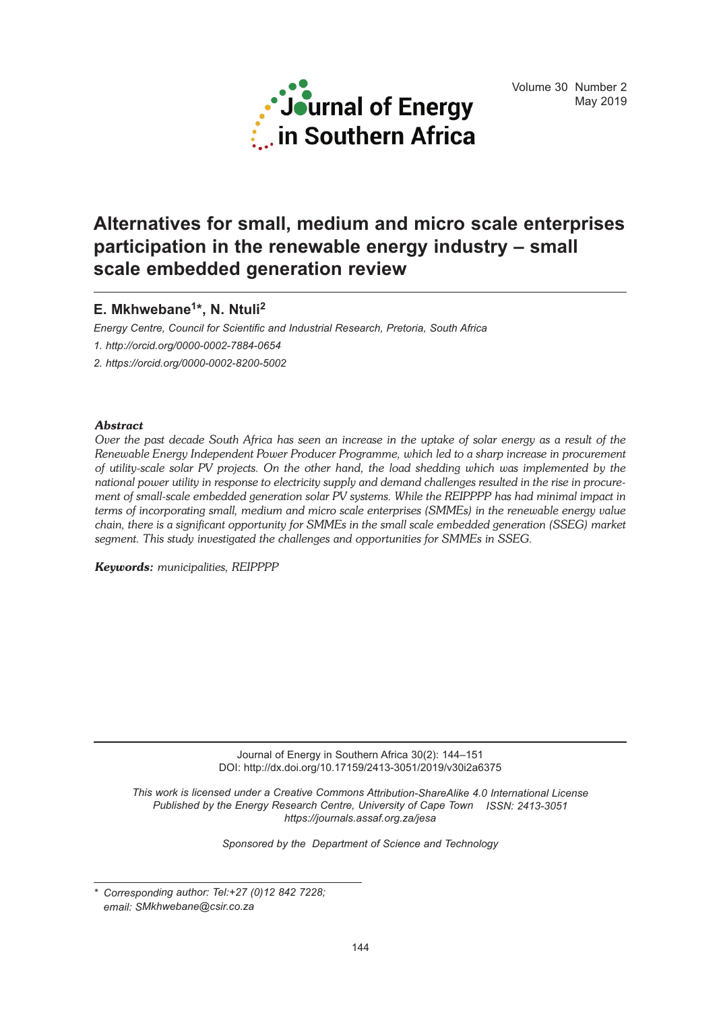

# **Alternatives for small, medium and micro scale enterprises participation in the renewable energy industry – small scale embedded generation review**

# **E. Mkhwebane1\*, N. Ntuli 2**

*Energy Centre, Council for Scientific and Industrial Research, Pretoria, South Africa*

*1. http://orcid.org/0000-0002-7884-0654*

*2. https://orcid.org/0000-0002-8200-5002*

# *Abstract*

Over the past decade South Africa has seen an increase in the uptake of solar energy as a result of the *Renewable Energy Independent Power Producer Programme, which led to a sharp increase in procurement of utility-scale solar PV projects. On the other hand, the load shedding which was implemented by the* national power utility in response to electricity supply and demand challenges resulted in the rise in procure*ment of small-scale embedded generation solar PV systems. While the REIPPPP has had minimal impact in terms of incorporating small, medium and micro scale enterprises (SMMEs) in the renewable energy value chain, there is a significant opportunity for SMMEs in the small scale embedded generation (SSEG) market segment. This study investigated the challenges and opportunities for SMMEs in SSEG.*

*Keywords: municipalities, REIPPPP*

Journal of Energy in Southern Africa 30(2): 144–151 DOI: http://dx.doi.org/10.17159/2413-3051/2019/v30i2a6375

*This work is licensed under a Creative Commons Attribution-ShareAlike 4.0 International License Published by the Energy Research Centre, University of Cape Town ISSN: 2413-3051 https://journals.assaf.org.za/jesa*

*Sponsored by the Department of Science and Technology*

*<sup>\*</sup> Corresponding author: Tel:+27 (0)12 842 7228; email: SMkhwebane@csir.co.za*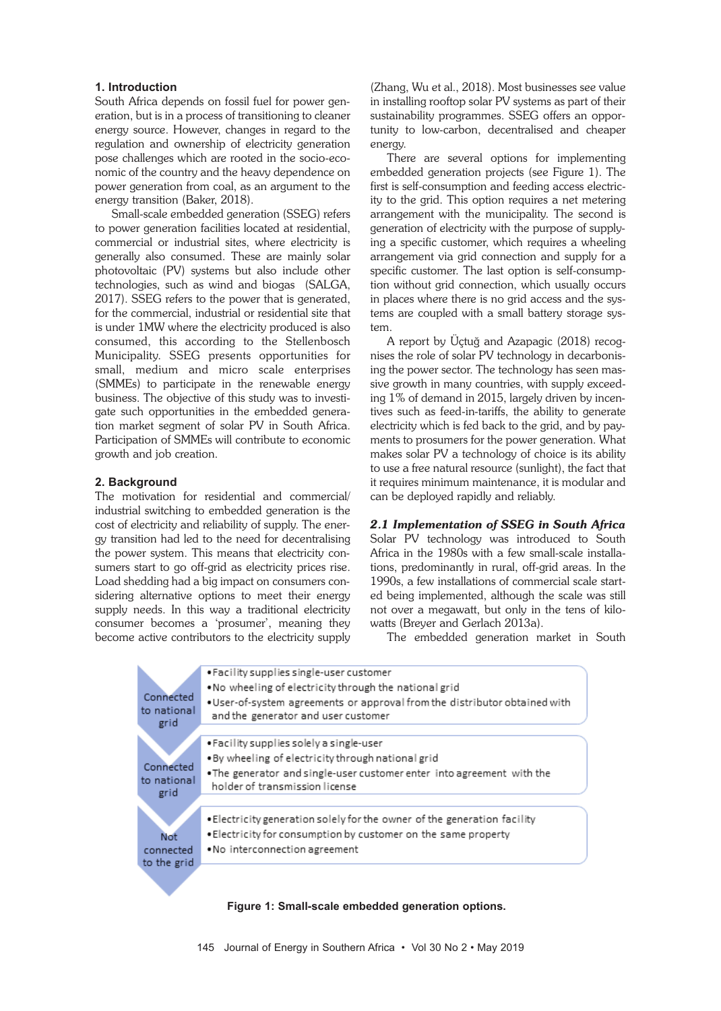## **1. Introduction**

South Africa depends on fossil fuel for power generation, but is in a process of transitioning to cleaner energy source. However, changes in regard to the regulation and ownership of electricity generation pose challenges which are rooted in the socio-economic of the country and the heavy dependence on power generation from coal, as an argument to the energy transition (Baker, 2018).

Small-scale embedded generation (SSEG) refers to power generation facilities located at residential, commercial or industrial sites, where electricity is generally also consumed. These are mainly solar photovoltaic (PV) systems but also include other technologies, such as wind and biogas (SALGA, 2017). SSEG refers to the power that is generated, for the commercial, industrial or residential site that is under 1MW where the electricity produced is also consumed, this according to the Stellenbosch Municipality. SSEG presents opportunities for small, medium and micro scale enterprises (SMMEs) to participate in the renewable energy business. The objective of this study was to investigate such opportunities in the embedded generation market segment of solar PV in South Africa. Participation of SMMEs will contribute to economic growth and job creation.

## **2. Background**

The motivation for residential and commercial/ industrial switching to embedded generation is the cost of electricity and reliability of supply. The energy transition had led to the need for decentralising the power system. This means that electricity consumers start to go off-grid as electricity prices rise. Load shedding had a big impact on consumers considering alternative options to meet their energy supply needs. In this way a traditional electricity consumer becomes a 'prosumer', meaning they become active contributors to the electricity supply (Zhang, Wu et al., 2018). Most businesses see value in installing rooftop solar PV systems as part of their sustainability programmes. SSEG offers an opportunity to low-carbon, decentralised and cheaper energy.

There are several options for implementing embedded generation projects (see Figure 1). The first is self-consumption and feeding access electricity to the grid. This option requires a net metering arrangement with the municipality. The second is generation of electricity with the purpose of supplying a specific customer, which requires a wheeling arrangement via grid connection and supply for a specific customer. The last option is self-consumption without grid connection, which usually occurs in places where there is no grid access and the systems are coupled with a small battery storage system.

A report by Üçtuğ and Azapagic (2018) recognises the role of solar PV technology in decarbonising the power sector. The technology has seen massive growth in many countries, with supply exceeding 1% of demand in 2015, largely driven by incentives such as feed-in-tariffs, the ability to generate electricity which is fed back to the grid, and by payments to prosumers for the power generation. What makes solar PV a technology of choice is its ability to use a free natural resource (sunlight), the fact that it requires minimum maintenance, it is modular and can be deployed rapidly and reliably.

*2.1 Implementation of SSEG in South Africa* Solar PV technology was introduced to South Africa in the 1980s with a few small-scale installations, predominantly in rural, off-grid areas. In the 1990s, a few installations of commercial scale started being implemented, although the scale was still not over a megawatt, but only in the tens of kilowatts (Breyer and Gerlach 2013a).

The embedded generation market in South



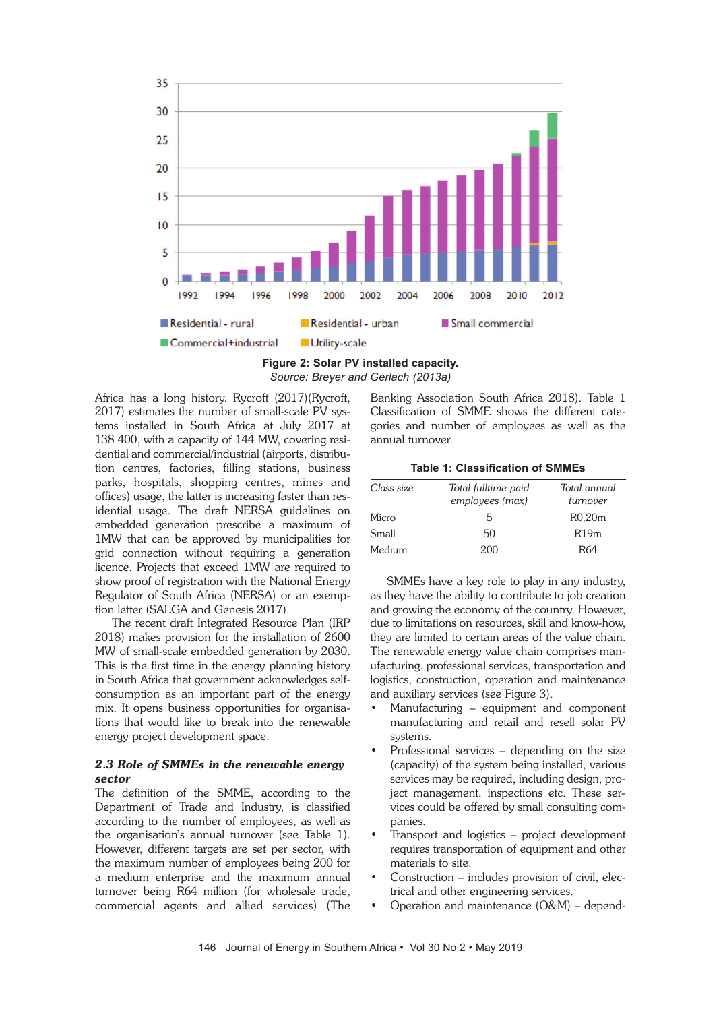

**Figure 2: Solar PV installed capacity.** *Source: Breyer and Gerlach (2013a)*

Africa has a long history. Rycroft (2017)(Rycroft, 2017) estimates the number of small-scale PV systems installed in South Africa at July 2017 at 138 400, with a capacity of 144 MW, covering residential and commercial/industrial (airports, distribution centres, factories, filling stations, business parks, hospitals, shopping centres, mines and offices) usage, the latter is increasing faster than residential usage. The draft NERSA guidelines on embedded generation prescribe a maximum of 1MW that can be approved by municipalities for grid connection without requiring a generation licence. Projects that exceed 1MW are required to show proof of registration with the National Energy Regulator of South Africa (NERSA) or an exemption letter (SALGA and Genesis 2017).

The recent draft Integrated Resource Plan (IRP 2018) makes provision for the installation of 2600 MW of small-scale embedded generation by 2030. This is the first time in the energy planning history in South Africa that government acknowledges selfconsumption as an important part of the energy mix. It opens business opportunities for organisations that would like to break into the renewable energy project development space.

#### *2.3 Role of SMMEs in the renewable energy sector*

The definition of the SMME, according to the Department of Trade and Industry, is classified according to the number of employees, as well as the organisation's annual turnover (see Table 1). However, different targets are set per sector, with the maximum number of employees being 200 for a medium enterprise and the maximum annual turnover being R64 million (for wholesale trade, commercial agents and allied services) (The

Banking Association South Africa 2018). Table 1 Classification of SMME shows the different categories and number of employees as well as the annual turnover.

**Table 1: Classification of SMMEs**

| Class size | Total fulltime paid<br>employees (max) | Total annual<br>turnover |
|------------|----------------------------------------|--------------------------|
| Micro      | 5                                      | R0.20m                   |
| Small      | 50                                     | R19m                     |
| Medium     | 200                                    | R64                      |

SMMEs have a key role to play in any industry, as they have the ability to contribute to job creation and growing the economy of the country. However, due to limitations on resources, skill and know-how, they are limited to certain areas of the value chain. The renewable energy value chain comprises manufacturing, professional services, transportation and logistics, construction, operation and maintenance and auxiliary services (see Figure 3).

- Manufacturing equipment and component manufacturing and retail and resell solar PV systems.
- Professional services depending on the size (capacity) of the system being installed, various services may be required, including design, project management, inspections etc. These services could be offered by small consulting companies.
- Transport and logistics project development requires transportation of equipment and other materials to site.
- Construction includes provision of civil, electrical and other engineering services.
- Operation and maintenance (O&M) depend-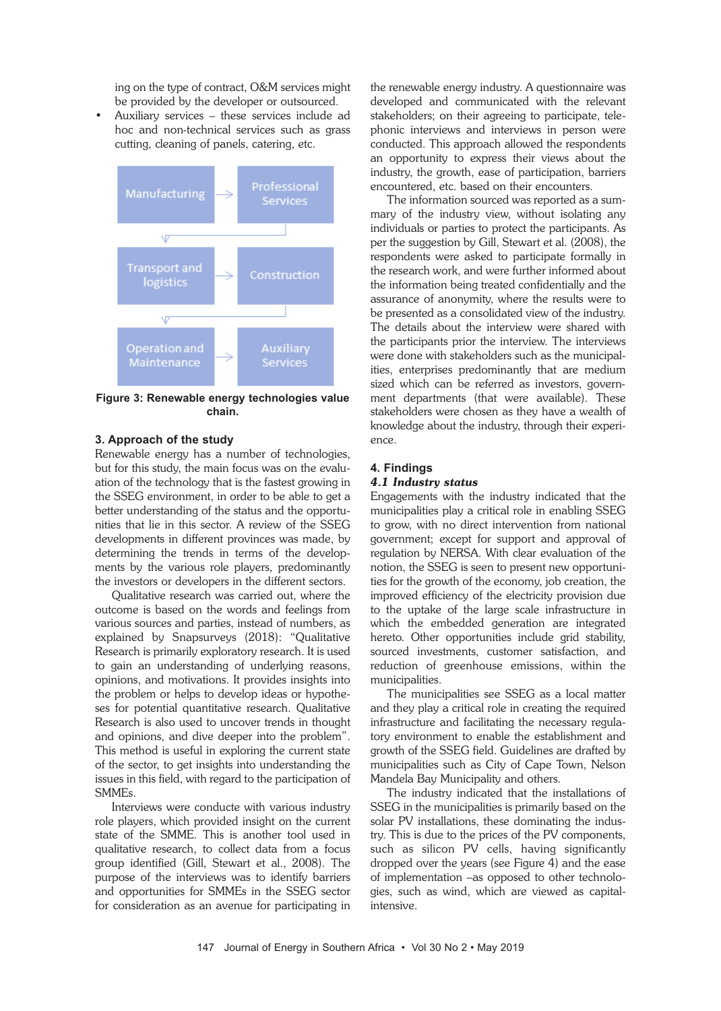ing on the type of contract, O&M services might be provided by the developer or outsourced.

• Auxiliary services – these services include ad hoc and non-technical services such as grass cutting, cleaning of panels, catering, etc.



**Figure 3: Renewable energy technologies value chain.**

#### **3. Approach of the study**

Renewable energy has a number of technologies, but for this study, the main focus was on the evaluation of the technology that is the fastest growing in the SSEG environment, in order to be able to get a better understanding of the status and the opportunities that lie in this sector. A review of the SSEG developments in different provinces was made, by determining the trends in terms of the developments by the various role players, predominantly the investors or developers in the different sectors.

Qualitative research was carried out, where the outcome is based on the words and feelings from various sources and parties, instead of numbers, as explained by Snapsurveys (2018): "Qualitative Research is primarily exploratory research. It is used to gain an understanding of underlying reasons, opinions, and motivations. It provides insights into the problem or helps to develop ideas or hypotheses for potential quantitative research. Qualitative Research is also used to uncover trends in thought and opinions, and dive deeper into the problem". This method is useful in exploring the current state of the sector, to get insights into understanding the issues in this field, with regard to the participation of SMMEs.

Interviews were conducte with various industry role players, which provided insight on the current state of the SMME. This is another tool used in qualitative research, to collect data from a focus group identified (Gill, Stewart et al., 2008). The purpose of the interviews was to identify barriers and opportunities for SMMEs in the SSEG sector for consideration as an avenue for participating in

the renewable energy industry. A questionnaire was developed and communicated with the relevant stakeholders; on their agreeing to participate, telephonic interviews and interviews in person were conducted. This approach allowed the respondents an opportunity to express their views about the industry, the growth, ease of participation, barriers encountered, etc. based on their encounters.

The information sourced was reported as a summary of the industry view, without isolating any individuals or parties to protect the participants. As per the suggestion by Gill, Stewart et al. (2008), the respondents were asked to participate formally in the research work, and were further informed about the information being treated confidentially and the assurance of anonymity, where the results were to be presented as a consolidated view of the industry. The details about the interview were shared with the participants prior the interview. The interviews were done with stakeholders such as the municipalities, enterprises predominantly that are medium sized which can be referred as investors, government departments (that were available). These stakeholders were chosen as they have a wealth of knowledge about the industry, through their experience.

# **4. Findings**

# *4.1 Industry status*

Engagements with the industry indicated that the municipalities play a critical role in enabling SSEG to grow, with no direct intervention from national government; except for support and approval of regulation by NERSA. With clear evaluation of the notion, the SSEG is seen to present new opportunities for the growth of the economy, job creation, the improved efficiency of the electricity provision due to the uptake of the large scale infrastructure in which the embedded generation are integrated hereto. Other opportunities include grid stability, sourced investments, customer satisfaction, and reduction of greenhouse emissions, within the municipalities.

The municipalities see SSEG as a local matter and they play a critical role in creating the required infrastructure and facilitating the necessary regulatory environment to enable the establishment and growth of the SSEG field. Guidelines are drafted by municipalities such as City of Cape Town, Nelson Mandela Bay Municipality and others.

The industry indicated that the installations of SSEG in the municipalities is primarily based on the solar PV installations, these dominating the industry. This is due to the prices of the PV components, such as silicon PV cells, having significantly dropped over the years (see Figure 4) and the ease of implementation –as opposed to other technologies, such as wind, which are viewed as capitalintensive.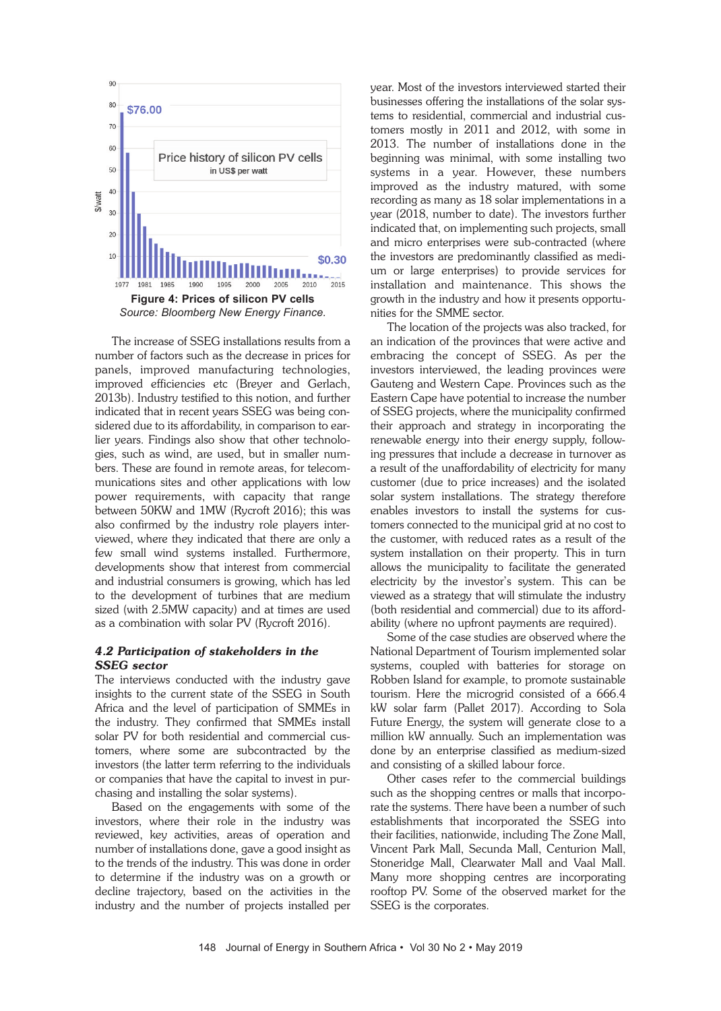

The increase of SSEG installations results from a number of factors such as the decrease in prices for panels, improved manufacturing technologies, improved efficiencies etc (Breyer and Gerlach, 2013b). Industry testified to this notion, and further indicated that in recent years SSEG was being considered due to its affordability, in comparison to earlier years. Findings also show that other technologies, such as wind, are used, but in smaller numbers. These are found in remote areas, for telecommunications sites and other applications with low power requirements, with capacity that range between 50KW and 1MW (Rycroft 2016); this was also confirmed by the industry role players interviewed, where they indicated that there are only a few small wind systems installed. Furthermore, developments show that interest from commercial and industrial consumers is growing, which has led to the development of turbines that are medium sized (with 2.5MW capacity) and at times are used as a combination with solar PV (Rycroft 2016).

# *4.2 Participation of stakeholders in the SSEG sector*

The interviews conducted with the industry gave insights to the current state of the SSEG in South Africa and the level of participation of SMMEs in the industry. They confirmed that SMMEs install solar PV for both residential and commercial customers, where some are subcontracted by the investors (the latter term referring to the individuals or companies that have the capital to invest in purchasing and installing the solar systems).

Based on the engagements with some of the investors, where their role in the industry was reviewed, key activities, areas of operation and number of installations done, gave a good insight as to the trends of the industry. This was done in order to determine if the industry was on a growth or decline trajectory, based on the activities in the industry and the number of projects installed per

year. Most of the investors interviewed started their businesses offering the installations of the solar systems to residential, commercial and industrial customers mostly in 2011 and 2012, with some in 2013. The number of installations done in the beginning was minimal, with some installing two systems in a year. However, these numbers improved as the industry matured, with some recording as many as 18 solar implementations in a year (2018, number to date). The investors further indicated that, on implementing such projects, small and micro enterprises were sub-contracted (where the investors are predominantly classified as medium or large enterprises) to provide services for installation and maintenance. This shows the growth in the industry and how it presents opportunities for the SMME sector.

The location of the projects was also tracked, for an indication of the provinces that were active and embracing the concept of SSEG. As per the investors interviewed, the leading provinces were Gauteng and Western Cape. Provinces such as the Eastern Cape have potential to increase the number of SSEG projects, where the municipality confirmed their approach and strategy in incorporating the renewable energy into their energy supply, following pressures that include a decrease in turnover as a result of the unaffordability of electricity for many customer (due to price increases) and the isolated solar system installations. The strategy therefore enables investors to install the systems for customers connected to the municipal grid at no cost to the customer, with reduced rates as a result of the system installation on their property. This in turn allows the municipality to facilitate the generated electricity by the investor's system. This can be viewed as a strategy that will stimulate the industry (both residential and commercial) due to its affordability (where no upfront payments are required).

Some of the case studies are observed where the National Department of Tourism implemented solar systems, coupled with batteries for storage on Robben Island for example, to promote sustainable tourism. Here the microgrid consisted of a 666.4 kW solar farm (Pallet 2017). According to Sola Future Energy, the system will generate close to a million kW annually. Such an implementation was done by an enterprise classified as medium-sized and consisting of a skilled labour force.

Other cases refer to the commercial buildings such as the shopping centres or malls that incorporate the systems. There have been a number of such establishments that incorporated the SSEG into their facilities, nationwide, including The Zone Mall, Vincent Park Mall, Secunda Mall, Centurion Mall, Stoneridge Mall, Clearwater Mall and Vaal Mall. Many more shopping centres are incorporating rooftop PV. Some of the observed market for the SSEG is the corporates.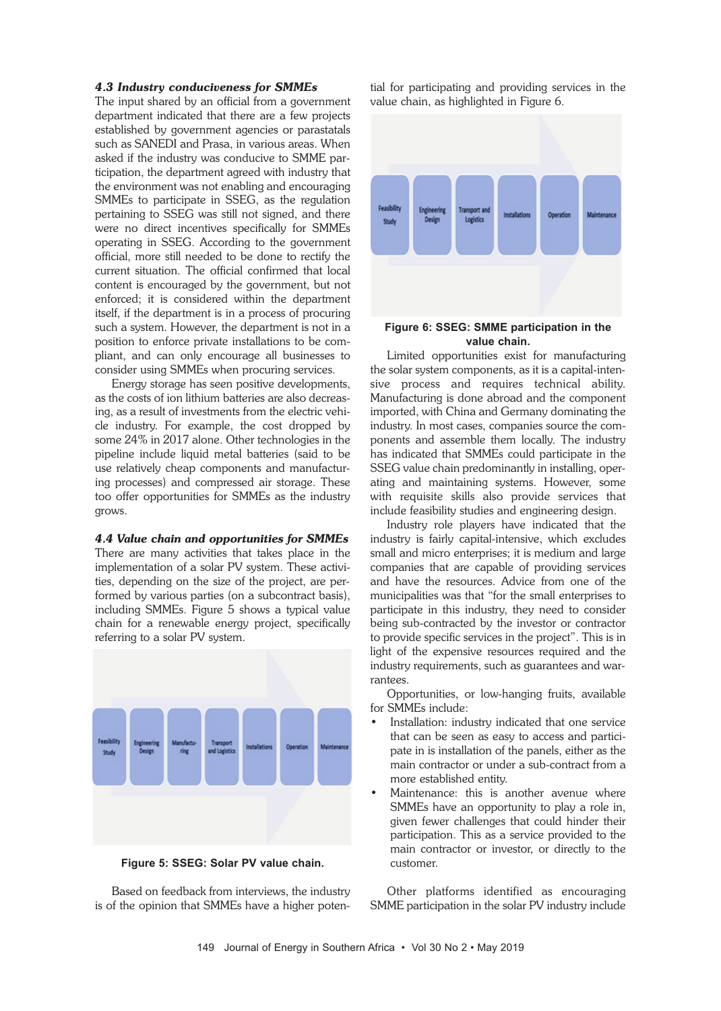## *4.3 Industry conduciveness for SMMEs*

The input shared by an official from a government department indicated that there are a few projects established by government agencies or parastatals such as SANEDI and Prasa, in various areas. When asked if the industry was conducive to SMME participation, the department agreed with industry that the environment was not enabling and encouraging SMMEs to participate in SSEG, as the regulation pertaining to SSEG was still not signed, and there were no direct incentives specifically for SMMEs operating in SSEG. According to the government official, more still needed to be done to rectify the current situation. The official confirmed that local content is encouraged by the government, but not enforced; it is considered within the department itself, if the department is in a process of procuring such a system. However, the department is not in a position to enforce private installations to be compliant, and can only encourage all businesses to consider using SMMEs when procuring services.

Energy storage has seen positive developments, as the costs of ion lithium batteries are also decreasing, as a result of investments from the electric vehicle industry. For example, the cost dropped by some 24% in 2017 alone. Other technologies in the pipeline include liquid metal batteries (said to be use relatively cheap components and manufacturing processes) and compressed air storage. These too offer opportunities for SMMEs as the industry grows.

#### *4.4 Value chain and opportunities for SMMEs*

There are many activities that takes place in the implementation of a solar PV system. These activities, depending on the size of the project, are performed by various parties (on a subcontract basis), including SMMEs. Figure 5 shows a typical value chain for a renewable energy project, specifically referring to a solar PV system.



**Figure 5: SSEG: Solar PV value chain.**

Based on feedback from interviews, the industry is of the opinion that SMMEs have a higher potential for participating and providing services in the value chain, as highlighted in Figure 6.



# **value chain.**

Limited opportunities exist for manufacturing the solar system components, as it is a capital-intensive process and requires technical ability. Manufacturing is done abroad and the component imported, with China and Germany dominating the industry. In most cases, companies source the components and assemble them locally. The industry has indicated that SMMEs could participate in the SSEG value chain predominantly in installing, operating and maintaining systems. However, some with requisite skills also provide services that include feasibility studies and engineering design.

Industry role players have indicated that the industry is fairly capital-intensive, which excludes small and micro enterprises; it is medium and large companies that are capable of providing services and have the resources. Advice from one of the municipalities was that "for the small enterprises to participate in this industry, they need to consider being sub-contracted by the investor or contractor to provide specific services in the project". This is in light of the expensive resources required and the industry requirements, such as guarantees and warrantees.

Opportunities, or low-hanging fruits, available for SMMEs include:

- Installation: industry indicated that one service that can be seen as easy to access and participate in is installation of the panels, either as the main contractor or under a sub-contract from a more established entity.
- Maintenance: this is another avenue where SMMEs have an opportunity to play a role in, given fewer challenges that could hinder their participation. This as a service provided to the main contractor or investor, or directly to the customer.

Other platforms identified as encouraging SMME participation in the solar PV industry include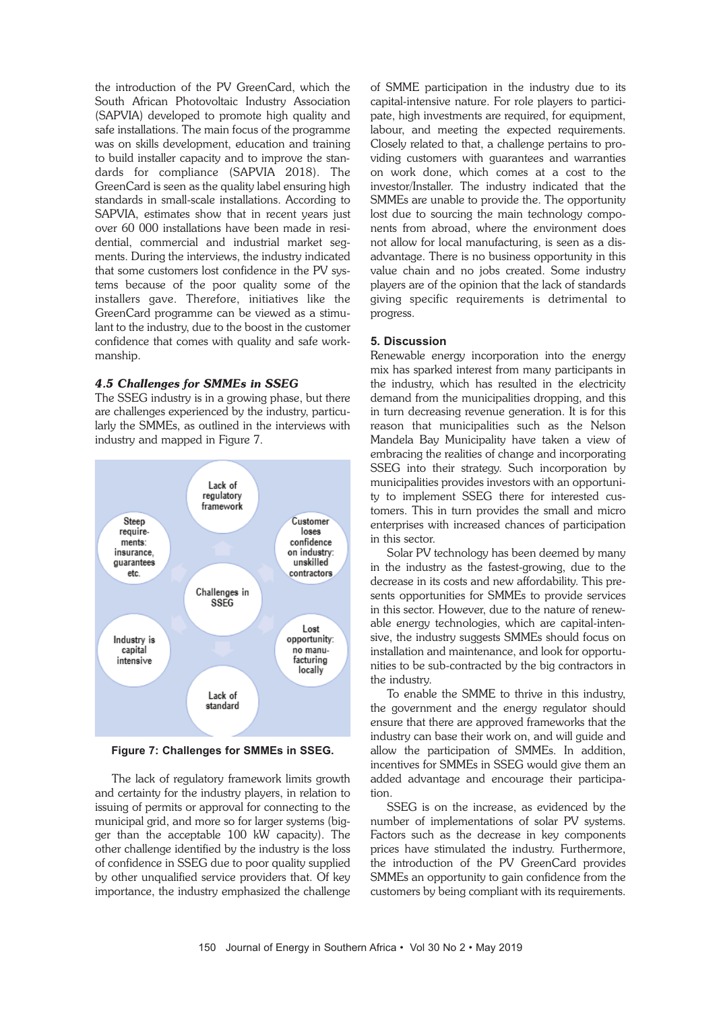the introduction of the PV GreenCard, which the South African Photovoltaic Industry Association (SAPVIA) developed to promote high quality and safe installations. The main focus of the programme was on skills development, education and training to build installer capacity and to improve the standards for compliance (SAPVIA 2018). The GreenCard is seen as the quality label ensuring high standards in small-scale installations. According to SAPVIA, estimates show that in recent years just over 60 000 installations have been made in residential, commercial and industrial market segments. During the interviews, the industry indicated that some customers lost confidence in the PV systems because of the poor quality some of the installers gave. Therefore, initiatives like the GreenCard programme can be viewed as a stimulant to the industry, due to the boost in the customer confidence that comes with quality and safe workmanship.

## *4.5 Challenges for SMMEs in SSEG*

The SSEG industry is in a growing phase, but there are challenges experienced by the industry, particularly the SMMEs, as outlined in the interviews with industry and mapped in Figure 7.



**Figure 7: Challenges for SMMEs in SSEG.**

The lack of regulatory framework limits growth and certainty for the industry players, in relation to issuing of permits or approval for connecting to the municipal grid, and more so for larger systems (bigger than the acceptable 100 kW capacity). The other challenge identified by the industry is the loss of confidence in SSEG due to poor quality supplied by other unqualified service providers that. Of key importance, the industry emphasized the challenge of SMME participation in the industry due to its capital-intensive nature. For role players to participate, high investments are required, for equipment, labour, and meeting the expected requirements. Closely related to that, a challenge pertains to providing customers with guarantees and warranties on work done, which comes at a cost to the investor/Installer. The industry indicated that the SMMEs are unable to provide the. The opportunity lost due to sourcing the main technology components from abroad, where the environment does not allow for local manufacturing, is seen as a disadvantage. There is no business opportunity in this value chain and no jobs created. Some industry players are of the opinion that the lack of standards giving specific requirements is detrimental to progress.

# **5. Discussion**

Renewable energy incorporation into the energy mix has sparked interest from many participants in the industry, which has resulted in the electricity demand from the municipalities dropping, and this in turn decreasing revenue generation. It is for this reason that municipalities such as the Nelson Mandela Bay Municipality have taken a view of embracing the realities of change and incorporating SSEG into their strategy. Such incorporation by municipalities provides investors with an opportunity to implement SSEG there for interested customers. This in turn provides the small and micro enterprises with increased chances of participation in this sector.

Solar PV technology has been deemed by many in the industry as the fastest-growing, due to the decrease in its costs and new affordability. This presents opportunities for SMMEs to provide services in this sector. However, due to the nature of renewable energy technologies, which are capital-intensive, the industry suggests SMMEs should focus on installation and maintenance, and look for opportunities to be sub-contracted by the big contractors in the industry.

To enable the SMME to thrive in this industry, the government and the energy regulator should ensure that there are approved frameworks that the industry can base their work on, and will guide and allow the participation of SMMEs. In addition, incentives for SMMEs in SSEG would give them an added advantage and encourage their participation.

SSEG is on the increase, as evidenced by the number of implementations of solar PV systems. Factors such as the decrease in key components prices have stimulated the industry. Furthermore, the introduction of the PV GreenCard provides SMMEs an opportunity to gain confidence from the customers by being compliant with its requirements.